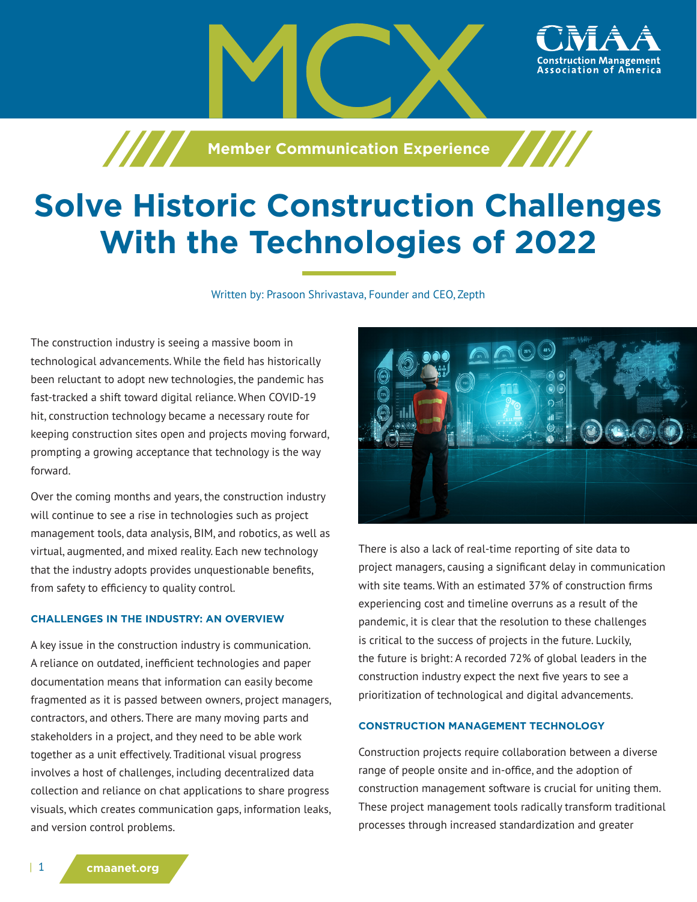

**Member Communication Experience** 

# **Solve Historic Construction Challenges With the Technologies of 2022**

Written by: Prasoon Shrivastava, Founder and CEO, Zepth

The construction industry is seeing a massive boom in technological advancements. While the field has historically been reluctant to adopt new technologies, the pandemic has fast-tracked a shift toward digital reliance. When COVID-19 hit, construction technology became a necessary route for keeping construction sites open and projects moving forward, prompting a growing acceptance that technology is the way forward.

/////

Over the coming months and years, the construction industry will continue to see a rise in technologies such as project management tools, data analysis, BIM, and robotics, as well as virtual, augmented, and mixed reality. Each new technology that the industry adopts provides unquestionable benefits, from safety to efficiency to quality control.

## **CHALLENGES IN THE INDUSTRY: AN OVERVIEW**

A key issue in the construction industry is communication. A reliance on outdated, inefficient technologies and paper documentation means that information can easily become fragmented as it is passed between owners, project managers, contractors, and others. There are many moving parts and stakeholders in a project, and they need to be able work together as a unit effectively. Traditional visual progress involves a host of challenges, including decentralized data collection and reliance on chat applications to share progress visuals, which creates communication gaps, information leaks, and version control problems.



There is also a lack of real-time reporting of site data to project managers, causing a significant delay in communication with site teams. With an estimated 37% of construction firms experiencing cost and timeline overruns as a result of the pandemic, it is clear that the resolution to these challenges is critical to the success of projects in the future. Luckily, the future is bright: A recorded 72% of global leaders in the construction industry expect the next five years to see a prioritization of technological and digital advancements.

## **CONSTRUCTION MANAGEMENT TECHNOLOGY**

Construction projects require collaboration between a diverse range of people onsite and in-office, and the adoption of construction management software is crucial for uniting them. These project management tools radically transform traditional processes through increased standardization and greater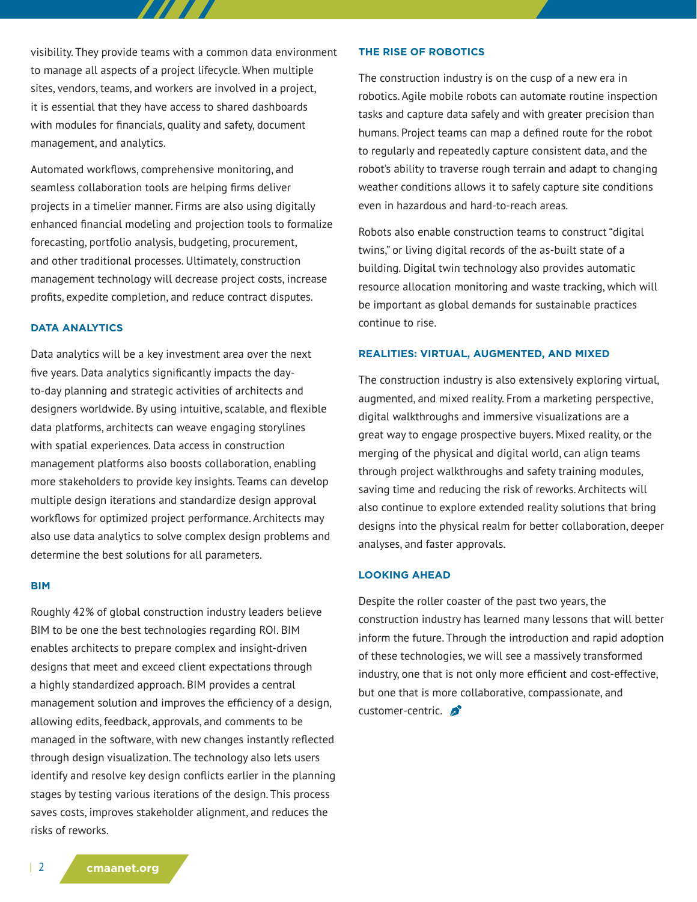visibility. They provide teams with a common data environment to manage all aspects of a project lifecycle. When multiple sites, vendors, teams, and workers are involved in a project, it is essential that they have access to shared dashboards with modules for financials, quality and safety, document management, and analytics.

7 7 7 7 A

Automated workflows, comprehensive monitoring, and seamless collaboration tools are helping firms deliver projects in a timelier manner. Firms are also using digitally enhanced financial modeling and projection tools to formalize forecasting, portfolio analysis, budgeting, procurement, and other traditional processes. Ultimately, construction management technology will decrease project costs, increase profits, expedite completion, and reduce contract disputes.

## **DATA ANALYTICS**

Data analytics will be a key investment area over the next five years. Data analytics significantly impacts the dayto-day planning and strategic activities of architects and designers worldwide. By using intuitive, scalable, and flexible data platforms, architects can weave engaging storylines with spatial experiences. Data access in construction management platforms also boosts collaboration, enabling more stakeholders to provide key insights. Teams can develop multiple design iterations and standardize design approval workflows for optimized project performance. Architects may also use data analytics to solve complex design problems and determine the best solutions for all parameters.

#### **BIM**

Roughly 42% of global construction industry leaders believe BIM to be one the best technologies regarding ROI. BIM enables architects to prepare complex and insight-driven designs that meet and exceed client expectations through a highly standardized approach. BIM provides a central management solution and improves the efficiency of a design, allowing edits, feedback, approvals, and comments to be managed in the software, with new changes instantly reflected through design visualization. The technology also lets users identify and resolve key design conflicts earlier in the planning stages by testing various iterations of the design. This process saves costs, improves stakeholder alignment, and reduces the risks of reworks.

#### **THE RISE OF ROBOTICS**

The construction industry is on the cusp of a new era in robotics. Agile mobile robots can automate routine inspection tasks and capture data safely and with greater precision than humans. Project teams can map a defined route for the robot to regularly and repeatedly capture consistent data, and the robot's ability to traverse rough terrain and adapt to changing weather conditions allows it to safely capture site conditions even in hazardous and hard-to-reach areas.

Robots also enable construction teams to construct "digital twins," or living digital records of the as-built state of a building. Digital twin technology also provides automatic resource allocation monitoring and waste tracking, which will be important as global demands for sustainable practices continue to rise.

#### **REALITIES: VIRTUAL, AUGMENTED, AND MIXED**

The construction industry is also extensively exploring virtual, augmented, and mixed reality. From a marketing perspective, digital walkthroughs and immersive visualizations are a great way to engage prospective buyers. Mixed reality, or the merging of the physical and digital world, can align teams through project walkthroughs and safety training modules, saving time and reducing the risk of reworks. Architects will also continue to explore extended reality solutions that bring designs into the physical realm for better collaboration, deeper analyses, and faster approvals.

#### **LOOKING AHEAD**

Despite the roller coaster of the past two years, the construction industry has learned many lessons that will better inform the future. Through the introduction and rapid adoption of these technologies, we will see a massively transformed industry, one that is not only more efficient and cost-effective, but one that is more collaborative, compassionate, and customer-centric.

| 2 **cmaanet.org**